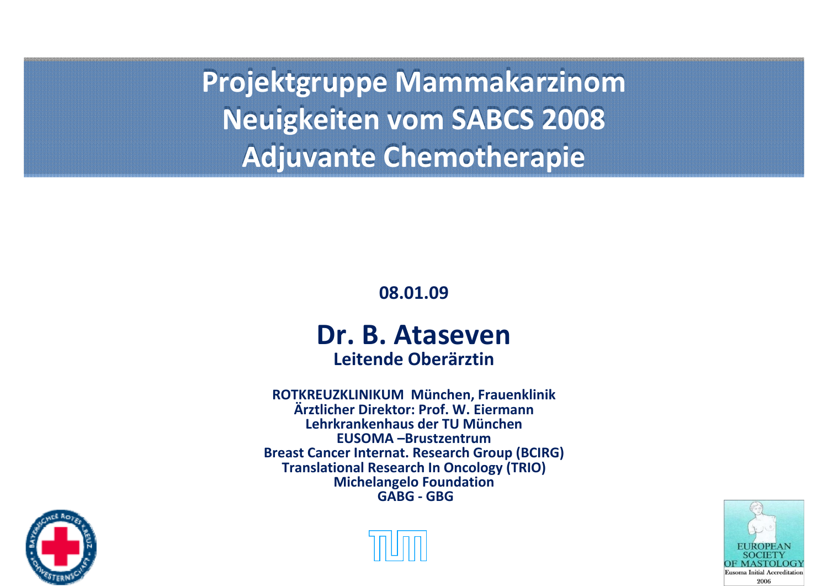**Projektgruppe Mammakarzinom Projektgruppe Mammakarzinom Neuigkeiten vom SABCS 2008 Neuigkeiten vom SABCS 2008 Adjuvante Chemotherapie Adjuvante Chemotherapie**

**08.01.09**

#### **Dr. B. AtasevenLeitende Oberärztin**

**ROTKREUZKLINIKUM München, Frauenklinik Ärztlicher Direktor: Prof. W. EiermannLehrkrankenhaus der TU München EUSOMA –BrustzentrumBreast Cancer Internat. Research Group (BCIRG) Translational Research In Oncology (TRIO) Michelangelo Foundation GABG ‐ GBG**





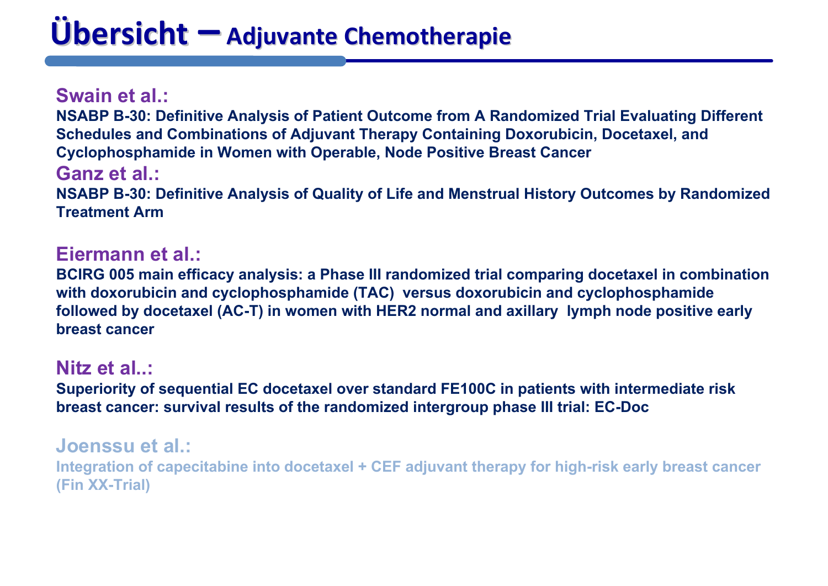# **Übersicht**  $\blacksquare$  Adjuvante Chemotherapie

**Swain et al.:NSABP B-30: Definitive Analysis of Patient Outcome from A Randomized Trial Evaluating Different Schedules and Combinations of Adjuvant Therapy Containing Doxorubicin, Docetaxel, and Cyclophosphamide in Women with Operable, Node Positive Breast Cancer Ganz et al.:NSABP B-30: Definitive Analysis of Quality of Life and Menstrual History Outcomes by Randomized Treatment Arm**

#### **Eiermann et al.:**

**BCIRG 005 main efficacy analysis: a Phase III randomized trial comparing docetaxel in combination with doxorubicin and cyclophosphamide (TAC) versus doxorubicin and cyclophosphamide followed by docetaxel (AC-T) in women with HER2 normal and axillary lymph node positive early breast cancer**

#### **Nitz et al..:**

**Superiority of sequential EC docetaxel over standard FE100C in patients with intermediate risk breast cancer: survival results of the randomized intergroup phase III trial: EC-Doc**

#### **Joenssu et al.:**

**Integration of capecitabine into docetaxel + CEF adjuvant therapy for high-risk early breast cancer (Fin XX-Trial)**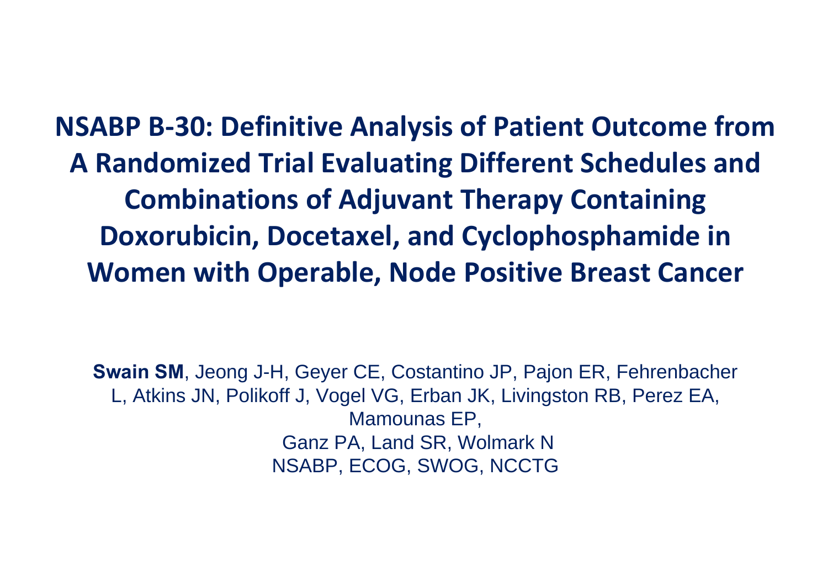**NSABP B‐30: Definitive Analysis of Patient Outcome from A Randomized Trial Evaluating Different Schedules and Combinations of Adjuvant Therapy Containing Doxorubicin, Docetaxel, and Cyclophosphamide in Women with Operable, Node Positive Breast Cancer**

**Swain SM**, Jeong J-H, Geyer CE, Costantino JP, Pajon ER, Fehrenbacher L, Atkins JN, Polikoff J, Vogel VG, Erban JK, Livingston RB, Perez EA, Mamounas EP, Ganz PA, Land SR, Wolmark N NSABP, ECOG, SWOG, NCCTG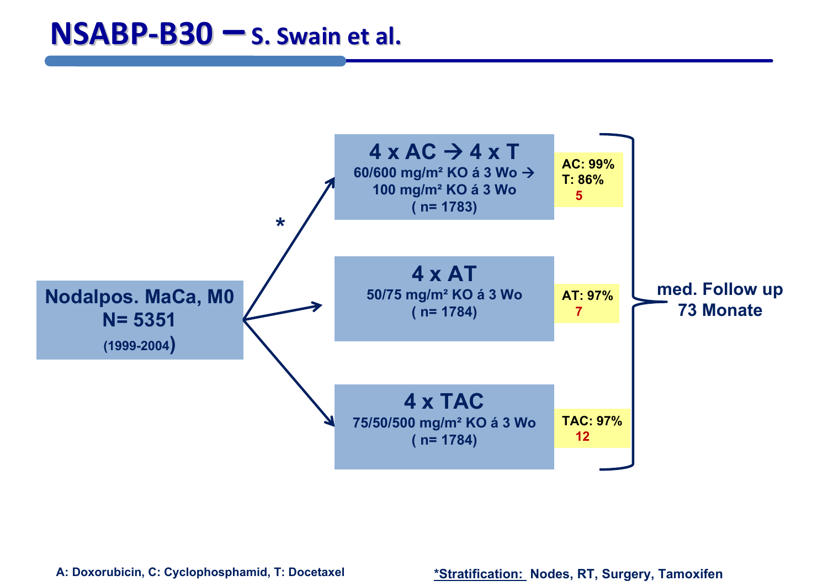

**A: Doxorubicin, C: Cyclophosphamid, T: Docetaxel**

**\*Stratification: Nodes, RT, Surgery, Tamoxifen**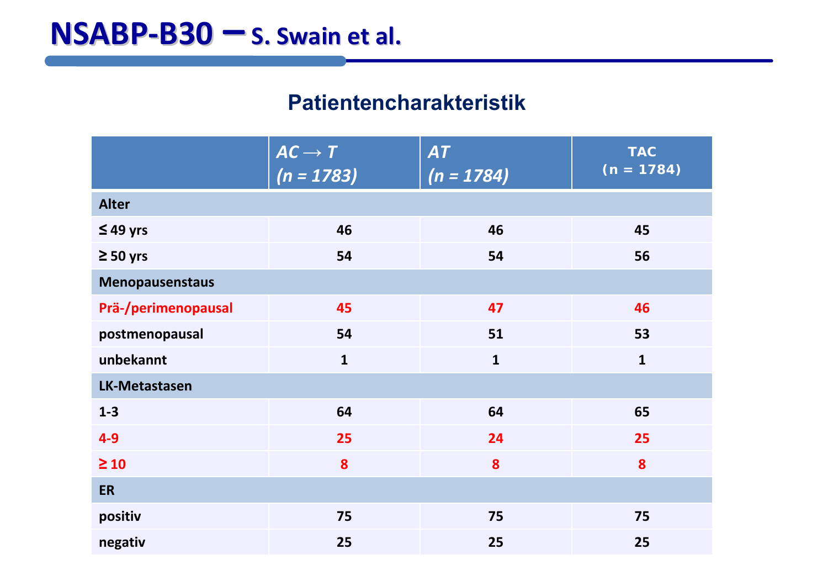#### **Patientencharakteristik**

|                      | $AC \rightarrow T$<br>(n = 1783) | <b>AT</b><br>$(n = 1784)$ | <b>TAC</b><br>$\sqrt{(n} = 1784)$ |  |  |  |
|----------------------|----------------------------------|---------------------------|-----------------------------------|--|--|--|
| <b>Alter</b>         |                                  |                           |                                   |  |  |  |
| $\leq$ 49 yrs        | 46                               | 46                        | 45                                |  |  |  |
| $\geq 50$ yrs        | 54                               | 54                        | 56                                |  |  |  |
| Menopausenstaus      |                                  |                           |                                   |  |  |  |
| Prä-/perimenopausal  | 45                               | 47                        | 46                                |  |  |  |
| postmenopausal       | 54                               | 51                        | 53                                |  |  |  |
| unbekannt            | $\mathbf{1}$                     | $\mathbf{1}$              | $\mathbf{1}$                      |  |  |  |
| <b>LK-Metastasen</b> |                                  |                           |                                   |  |  |  |
| $1 - 3$              | 64                               | 64                        | 65                                |  |  |  |
| $4 - 9$              | 25                               | 24                        | 25                                |  |  |  |
| $\geq 10$            | 8                                | 8                         | 8                                 |  |  |  |
| <b>ER</b>            |                                  |                           |                                   |  |  |  |
| positiv              | 75                               | 75                        | 75                                |  |  |  |
| negativ              | 25                               | 25                        | 25                                |  |  |  |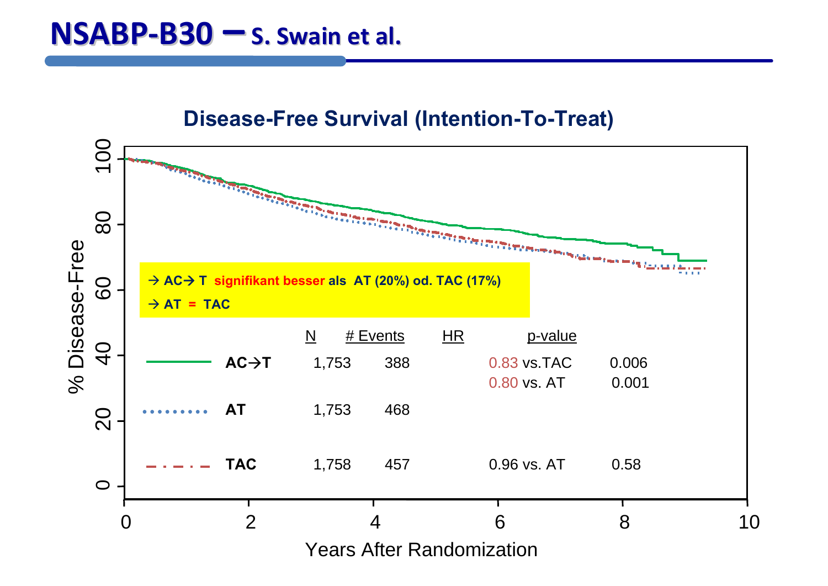#### **Disease-Free Survival (Intention-To-Treat)**

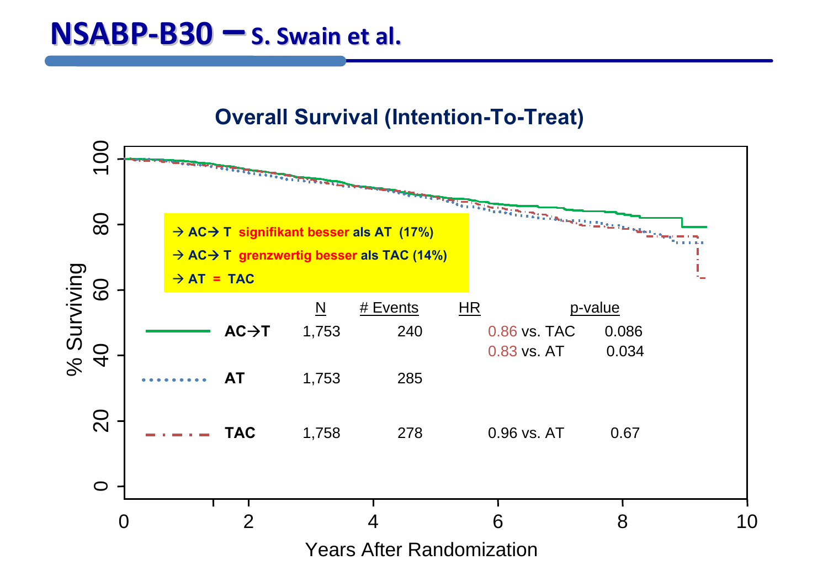#### **Overall Survival (Intention-To-Treat)**

![](_page_6_Figure_2.jpeg)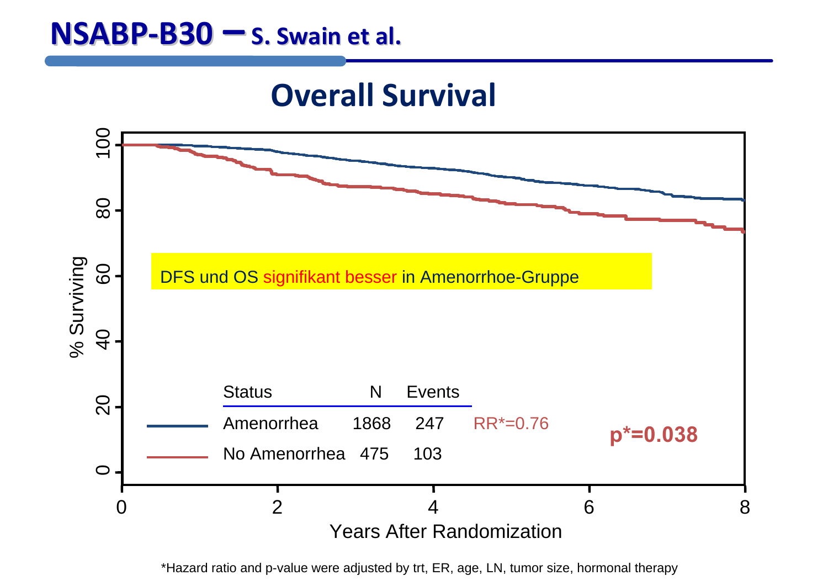### **NSABP‐B30 – S. Swain et al.**

### **Overall Survival**

![](_page_7_Figure_2.jpeg)

\*Hazard ratio and p-value were adjusted by trt, ER, age, LN, tumor size, hormonal therapy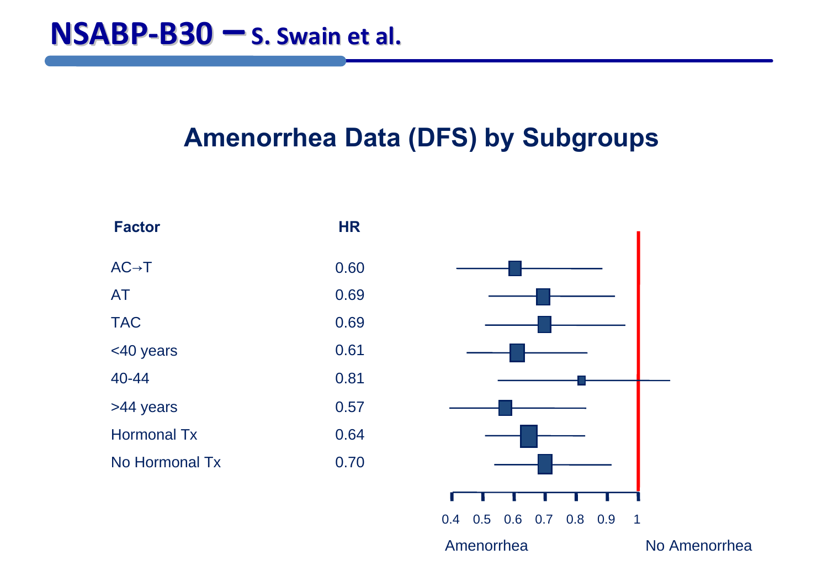### **Amenorrhea Data (DFS) by Subgroups**

![](_page_8_Figure_2.jpeg)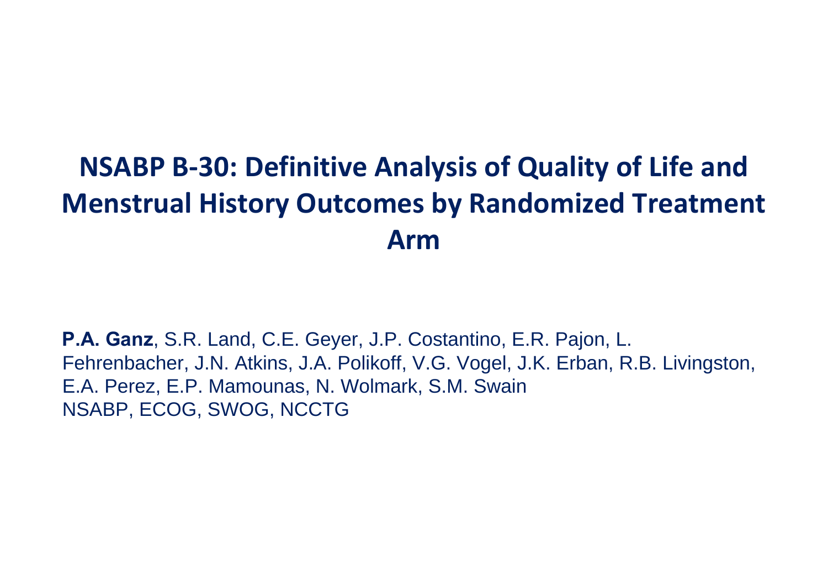### **NSABP B‐30: Definitive Analysis of Quality of Life and Menstrual History Outcomes by Randomized Treatment Arm**

**P.A. Ganz**, S.R. Land, C.E. Geyer, J.P. Costantino, E.R. Pajon, L. Fehrenbacher, J.N. Atkins, J.A. Polikoff, V.G. Vogel, J.K. Erban, R.B. Livingston, E.A. Perez, E.P. Mamounas, N. Wolmark, S.M. Swain NSABP, ECOG, SWOG, NCCTG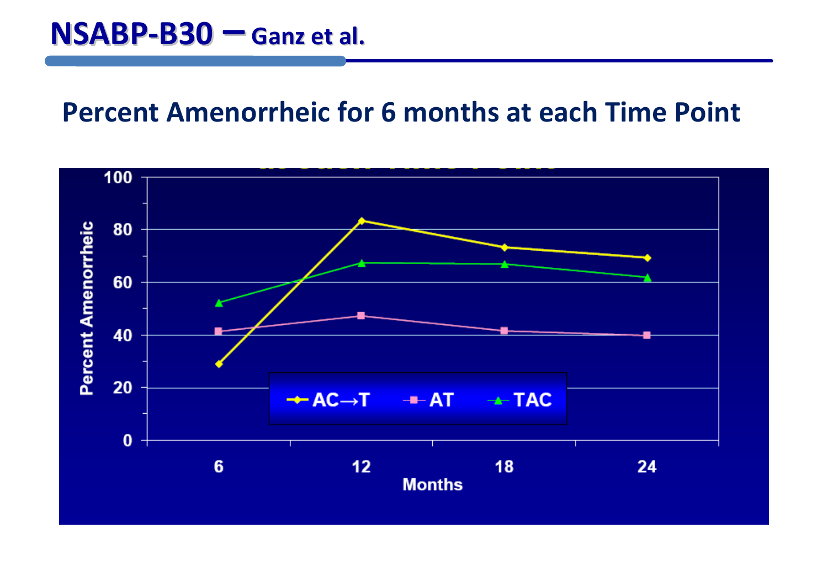### **Percent Amenorrheic for 6 months at each Time Point**

![](_page_10_Figure_2.jpeg)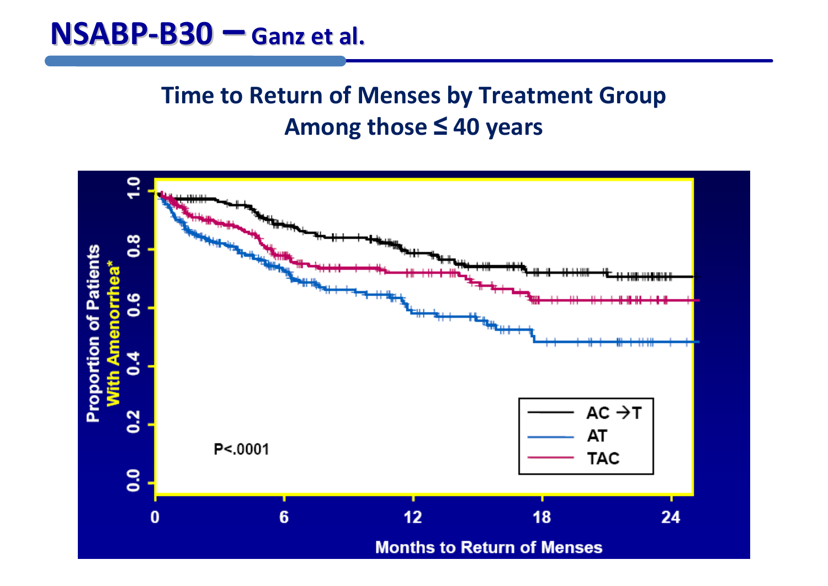### **Time to Return of Menses by Treatment Group Among those ≤ 40 years**

![](_page_11_Figure_2.jpeg)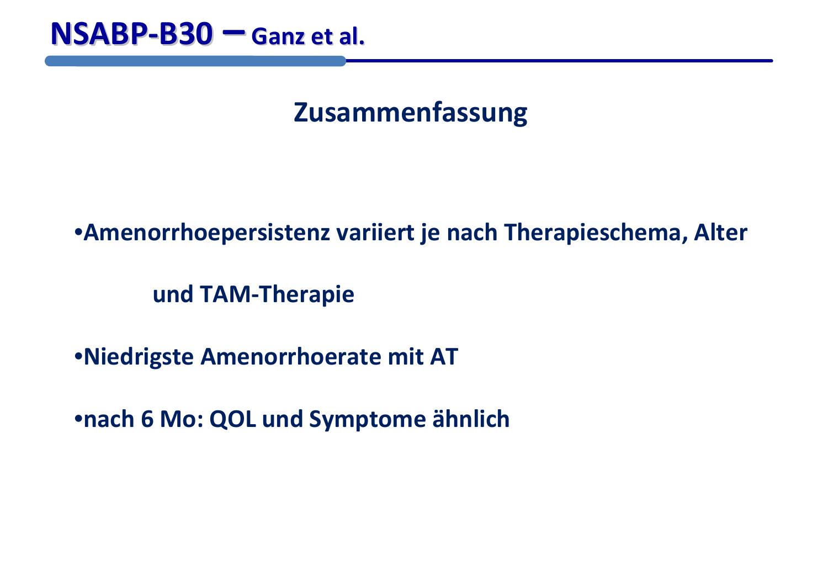### **Zusammenfassung**

### •**Amenorrhoepersistenz variiert je nach Therapieschema, Alter**

**und TAM‐Therapie**

•**Niedrigste Amenorrhoerate mit AT**

•**nach 6 Mo: QOL und Symptome ähnlich**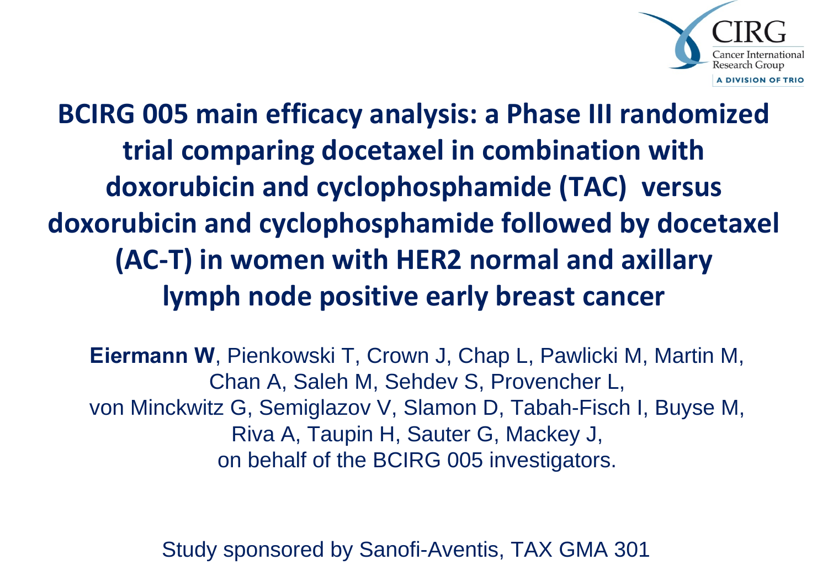![](_page_13_Picture_0.jpeg)

**BCIRG 005 main efficacy analysis: <sup>a</sup> Phase III randomized trial comparing docetaxel in combination with doxorubicin and cyclophosphamide (TAC) versus doxorubicin and cyclophosphamide followed by docetaxel (AC‐T) in women with HER2 normal and axillary lymph node positive early breast cancer**

**Eiermann W**, Pienkowski T, Crown J, Chap L, Pawlicki M, Martin M, Chan A, Saleh M, Sehdev S, Provencher L, von Minckwitz G, Semiglazov V, Slamon D, Tabah-Fisch I, Buyse M, Riva A, Taupin H, Sauter G, Mackey J, on behalf of the BCIRG 005 investigators.

Study sponsored by Sanofi-Aventis, TAX GMA 301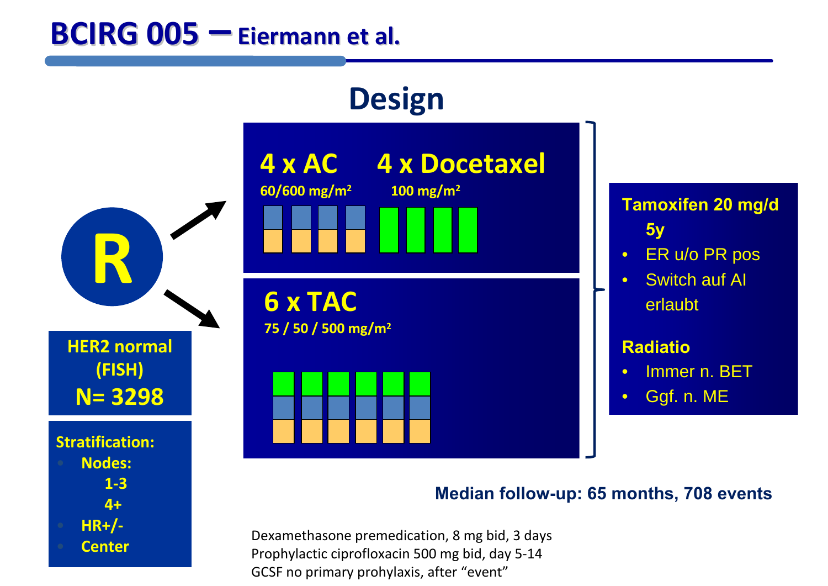### **BCIRG 005 – Eiermann Eiermann et al.**

**Center**

![](_page_14_Figure_1.jpeg)

Dexamethasone premedication, 8 mg bid, 3 days Prophylactic ciprofloxacin 500 mg bid, day 5‐14 GCSF no primary prohylaxis, after "event"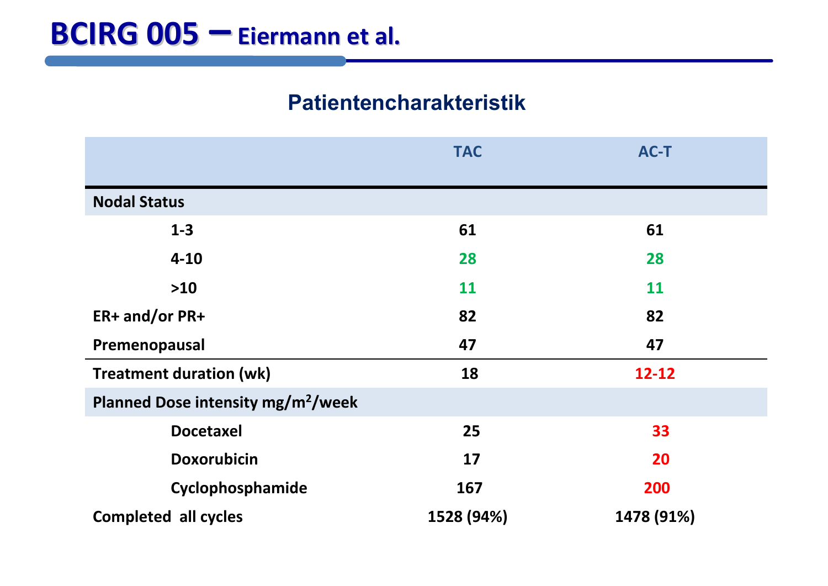#### **Patientencharakteristik**

|                                                | <b>TAC</b> | <b>AC-T</b> |  |  |  |
|------------------------------------------------|------------|-------------|--|--|--|
|                                                |            |             |  |  |  |
| <b>Nodal Status</b>                            |            |             |  |  |  |
| $1-3$                                          | 61         | 61          |  |  |  |
| $4 - 10$                                       | 28         | 28          |  |  |  |
| $>10$                                          | 11         | <b>11</b>   |  |  |  |
| ER+ and/or PR+                                 | 82         | 82          |  |  |  |
| Premenopausal                                  | 47         | 47          |  |  |  |
| <b>Treatment duration (wk)</b>                 | 18         | $12 - 12$   |  |  |  |
| Planned Dose intensity mg/m <sup>2</sup> /week |            |             |  |  |  |
| <b>Docetaxel</b>                               | 25         | 33          |  |  |  |
| <b>Doxorubicin</b>                             | 17         | 20          |  |  |  |
| Cyclophosphamide                               | 167        | 200         |  |  |  |
| <b>Completed all cycles</b>                    | 1528 (94%) | 1478 (91%)  |  |  |  |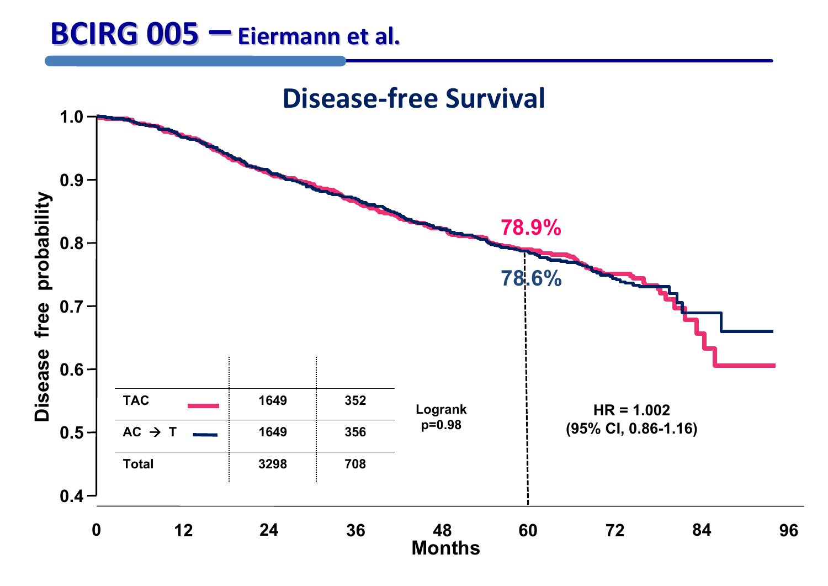### **BCIRG 005 – Eiermann Eiermann et al.**

![](_page_16_Figure_1.jpeg)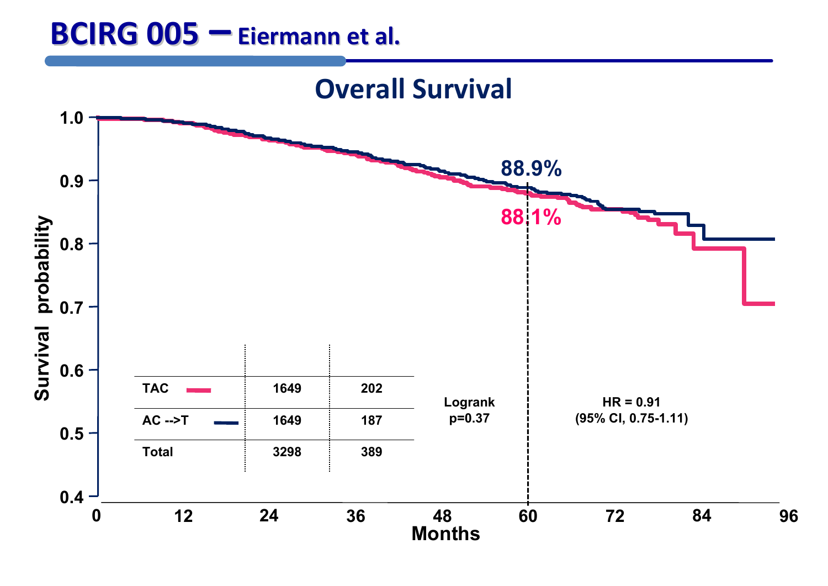### **BCIRG 005 – Eiermann Eiermann et al.**

![](_page_17_Figure_1.jpeg)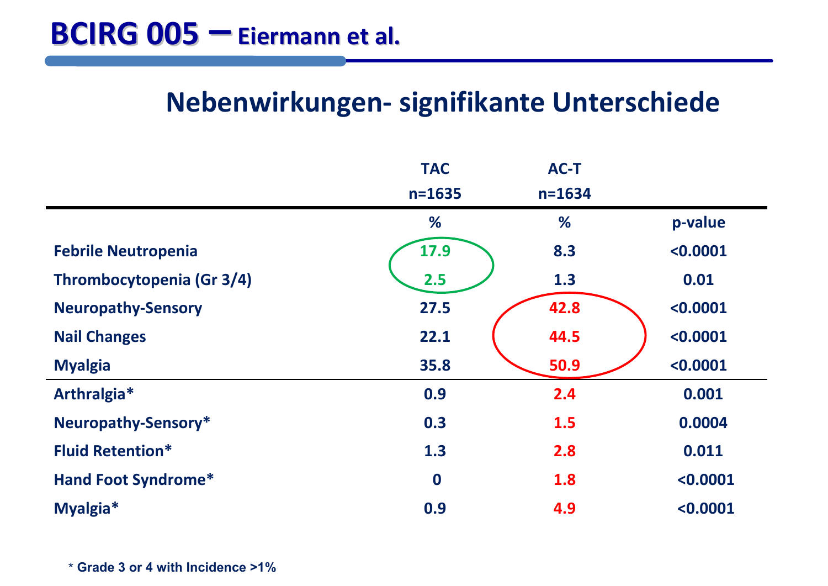### **Nebenwirkungen‐ signifikante Unterschiede**

|                            | <b>TAC</b>       | <b>AC-T</b> |          |
|----------------------------|------------------|-------------|----------|
|                            | $n = 1635$       | $n = 1634$  |          |
|                            | %                | %           | p-value  |
| <b>Febrile Neutropenia</b> | 17.9             | 8.3         | < 0.0001 |
| Thrombocytopenia (Gr 3/4)  | 2.5              | 1.3         | 0.01     |
| <b>Neuropathy-Sensory</b>  | 27.5             | 42.8        | < 0.0001 |
| <b>Nail Changes</b>        | 22.1             | 44.5        | < 0.0001 |
| <b>Myalgia</b>             | 35.8             | 50.9        | < 0.0001 |
| Arthralgia*                | 0.9              | 2.4         | 0.001    |
| Neuropathy-Sensory*        | 0.3              | 1.5         | 0.0004   |
| <b>Fluid Retention*</b>    | 1.3              | 2.8         | 0.011    |
| <b>Hand Foot Syndrome*</b> | $\boldsymbol{0}$ | 1.8         | < 0.0001 |
| Myalgia*                   | 0.9              | 4.9         | < 0.0001 |

\* **Grade 3 or 4 with Incidence >1%**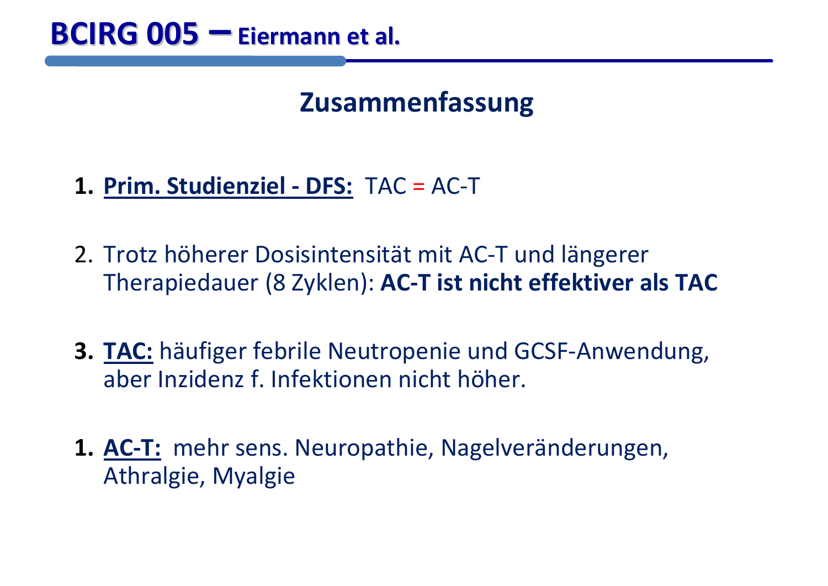### **Zusammenfassung**

- **1. Prim. Studienziel ‐ DFS:** TAC <sup>=</sup> AC‐T
- 2. Trotz höherer Dosisintensität mit AC‐T und längerer Therapiedauer (8 Zyklen): **AC‐T ist nicht effektiver als TAC**
- **3. TAC:** häufiger febrile Neutropenie und GCSF‐Anwendung, aber Inzidenz f. Infektionen nicht höher.
- **1. AC‐T:** mehr sens. Neuropathie, Nagelveränderungen, Athralgie, Myalgie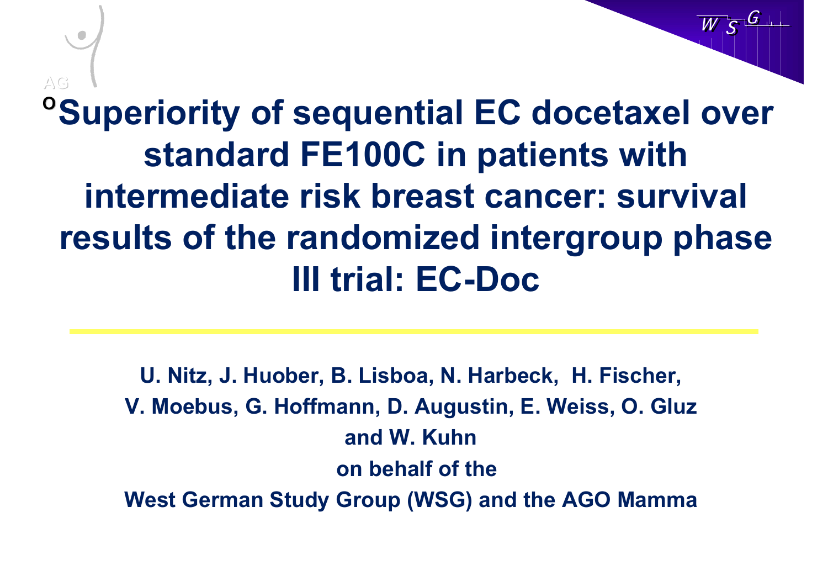## **<sup>o</sup>Superiority of sequential EC docetaxel over standard FE100C in patients with intermediate risk breast cancer: survival results of the randomized intergroup phase III trial: EC-DocAG**

W

W

S

S

G

G

**U. Nitz, J. Huober, B. Lisboa, N. Harbeck, H. Fischer, V. Moebus, G. Hoffmann, D. Augustin, E. Weiss, O. Gluz and W. Kuhnon behalf of the West German Study Group (WSG) and the AGO Mamma**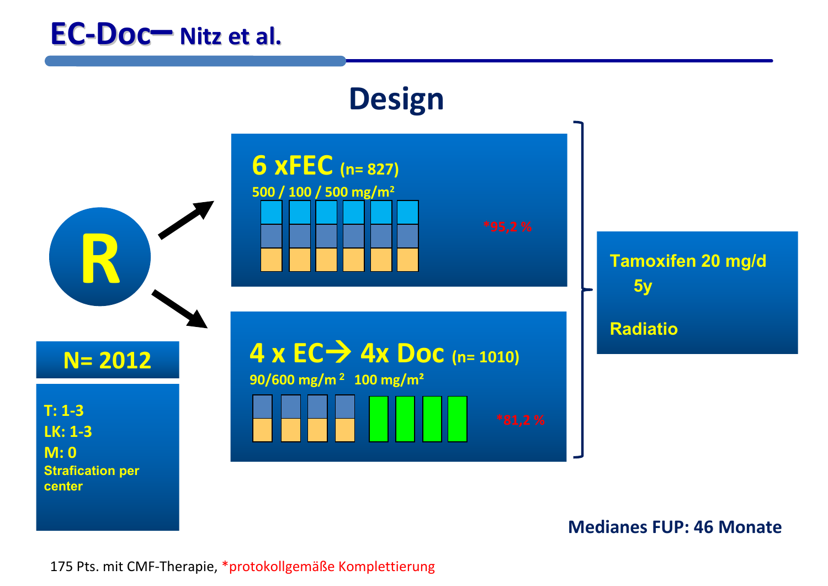![](_page_21_Figure_1.jpeg)

**Medianes FUP: 46 Monate**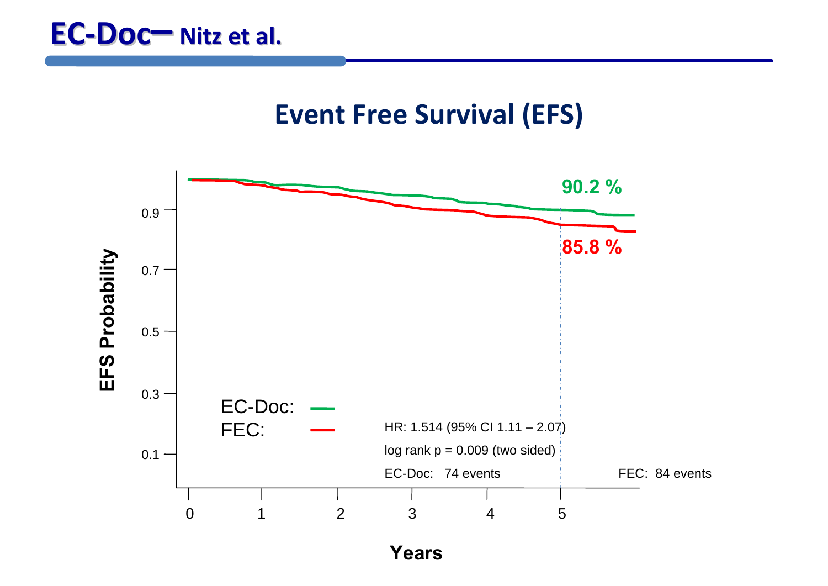![](_page_22_Figure_1.jpeg)

**Years**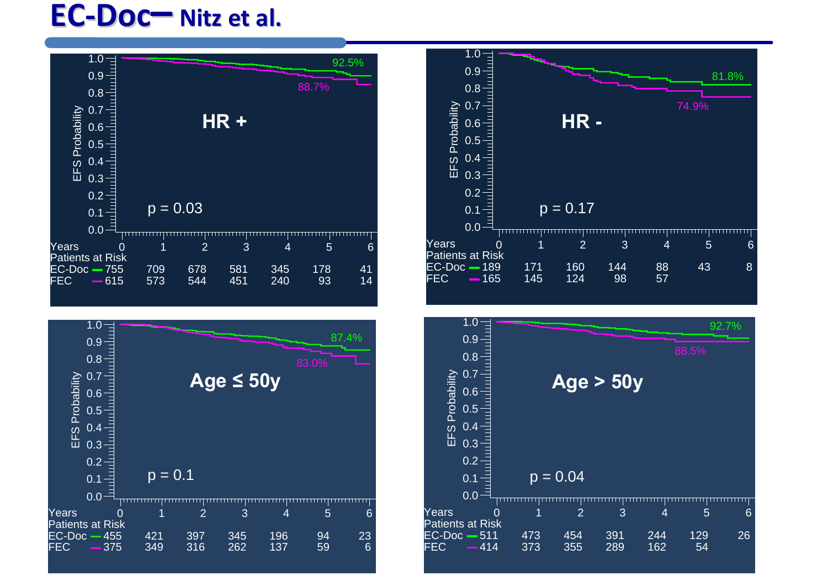![](_page_23_Figure_1.jpeg)

![](_page_23_Figure_2.jpeg)

![](_page_23_Figure_3.jpeg)

![](_page_23_Figure_4.jpeg)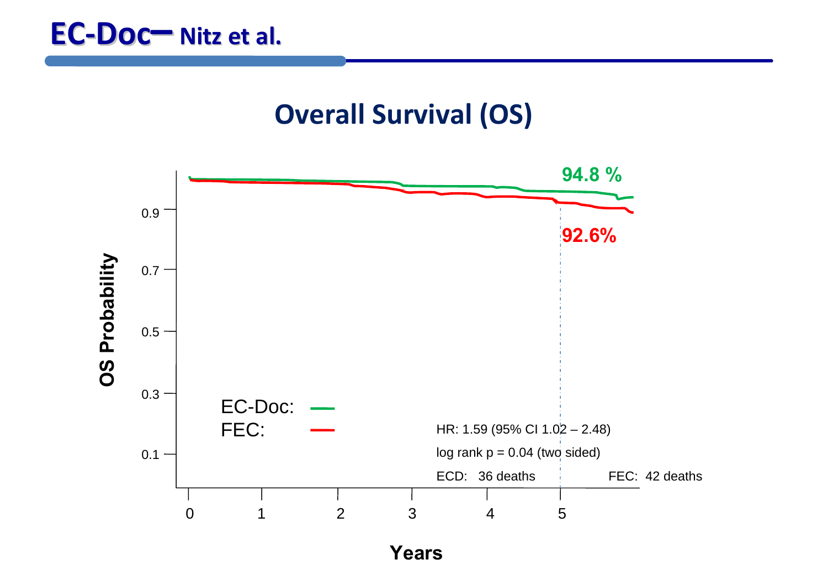### **Overall Survival (OS)**

![](_page_24_Figure_2.jpeg)

**Years**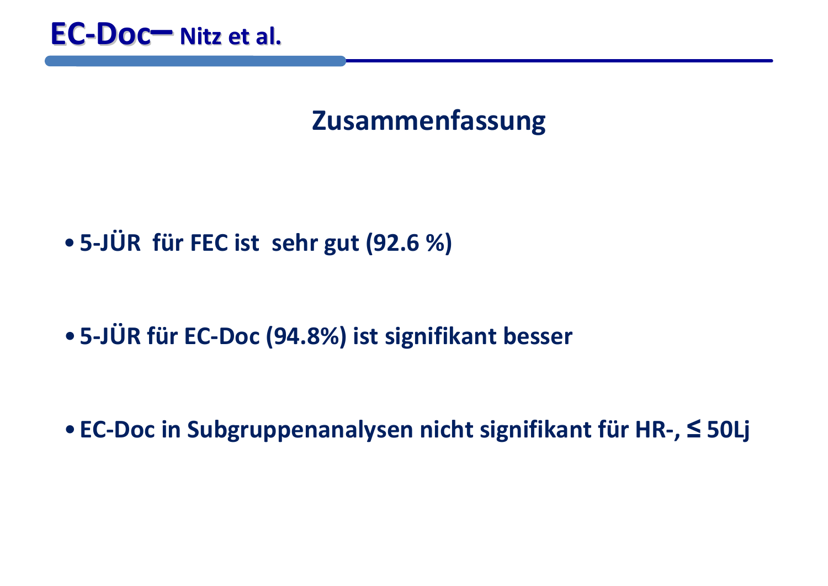![](_page_25_Picture_0.jpeg)

### **Zusammenfassung**

•**5‐JÜR für FEC ist sehr gut (92.6 %)**

•**5‐JÜR für EC‐Doc (94.8%) ist signifikant besser**

• **EC‐Doc in Subgruppenanalysen nicht signifikant für HR‐, ≤ 50Lj**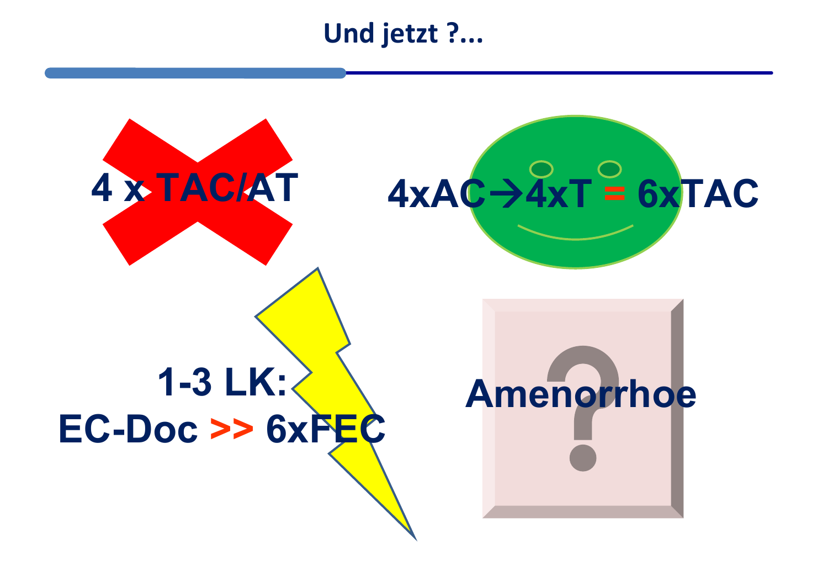### **Und jetzt ?...**

![](_page_26_Figure_1.jpeg)